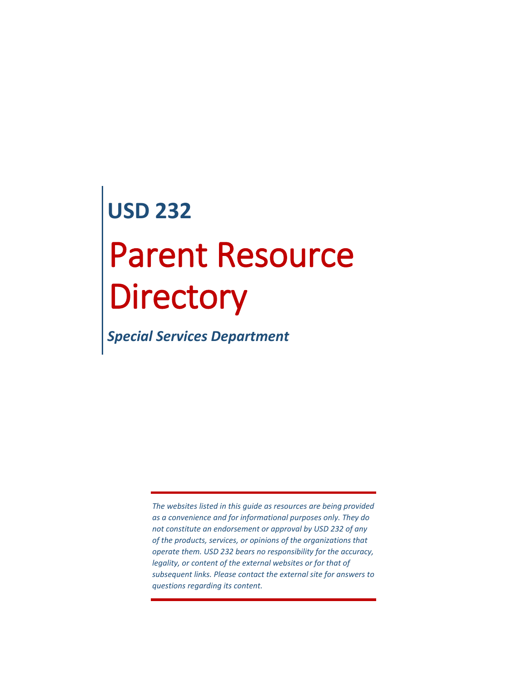# **USD 232** Parent Resource **Directory**

*Special Services Department*

*The websites listed in this guide as resources are being provided as a convenience and for informational purposes only. They do not constitute an endorsement or approval by USD 232 of any of the products, services, or opinions of the organizations that operate them. USD 232 bears no responsibility for the accuracy, legality, or content of the external websites or for that of subsequent links. Please contact the external site for answers to questions regarding its content.*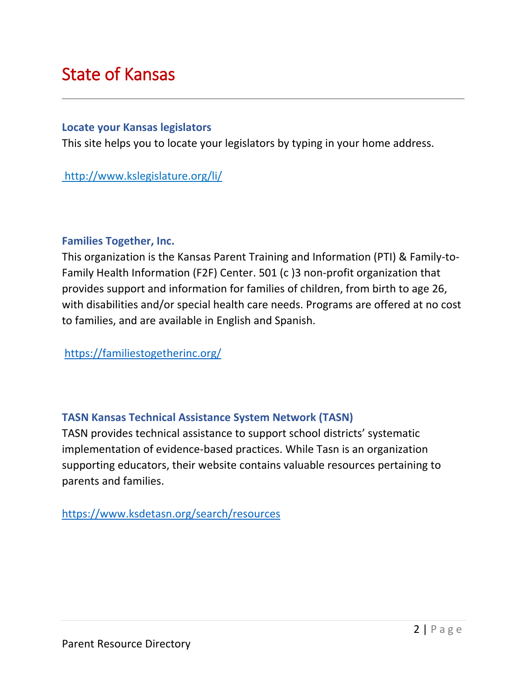# <span id="page-2-0"></span>State of Kansas

#### **[Locate your Kansas legislators](http://maps.kansasgis.org/demograph/ims/myelect.cfm)**

This site helps you to locate your legislators by typing in your home address.

# http://www.kslegislature.org/li/

#### **Families Together, Inc.**

This organization is the Kansas [Parent Training and Information \(PTI\)](https://familiestogetherinc.org/parent-training-information-center/) & [Family-to-](https://familiestogetherinc.org/family-to-family-health-information-center/)[Family Health Information \(F2F\)](https://familiestogetherinc.org/family-to-family-health-information-center/) Center. 501 (c )3 non-profit organization that provides support and information for families of children, from birth to age 26, with disabilities and/or special health care needs. Programs are offered at no cost to families, and are available in English and Spanish.

<https://familiestogetherinc.org/>

# **TASN Kansas Technical Assistance System Network (TASN)**

TASN provides technical assistance to support school districts' systematic implementation of evidence-based practices. While Tasn is an organization supporting educators, their website contains valuable resources pertaining to parents and families.

<https://www.ksdetasn.org/search/resources>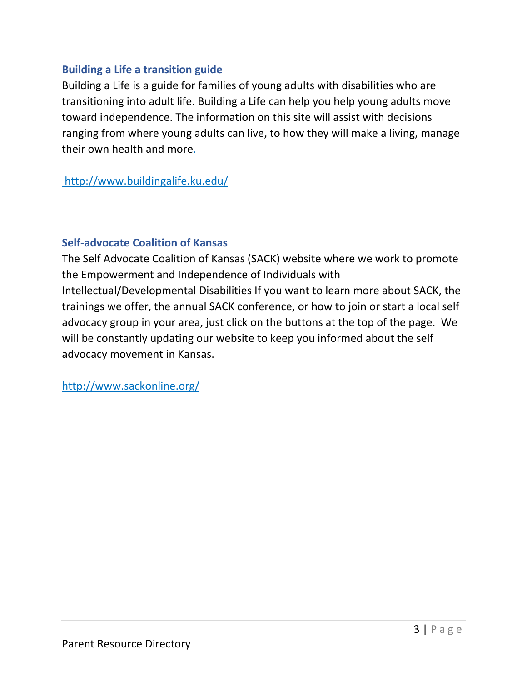# **Building a Life a transition guide**

Building a Life is a guide for families of young adults with disabilities who are transitioning into adult life. Building a Life can help you help young adults move toward independence. The information on this site will assist with decisions ranging from where young adults can live, to how they will make a living, manage their own health and more.

http://www.buildingalife.ku.edu/

# **Self-advocate Coalition of Kansas**

The Self Advocate Coalition of Kansas (SACK) website where we work to promote the Empowerment and Independence of Individuals with Intellectual/Developmental Disabilities If you want to learn more about SACK, the trainings we offer, the annual SACK conference, or how to join or start a local self advocacy group in your area, just click on the buttons at the top of the page. We will be constantly updating our website to keep you informed about the self advocacy movement in Kansas.

http://www.sackonline.org/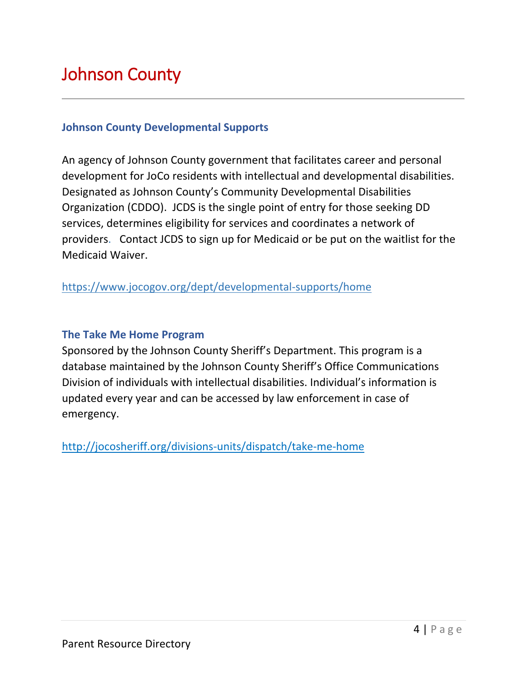# <span id="page-4-0"></span>Johnson County

### **Johnson County Developmental Supports**

An agency of Johnson County government that facilitates career and personal development for JoCo residents with intellectual and developmental disabilities. Designated as Johnson County's Community Developmental Disabilities Organization (CDDO). JCDS is the single point of entry for those seeking DD services, determines eligibility for services and coordinates a network of providers. Contact JCDS to sign up for Medicaid or be put on the waitlist for the Medicaid Waiver.

https://www.jocogov.org/dept/developmental-supports/home

### **The Take Me Home Program**

Sponsored by the Johnson County Sheriff's Department. This program is a database maintained by the Johnson County Sheriff's Office Communications Division of individuals with intellectual disabilities. Individual's information is updated every year and can be accessed by law enforcement in case of emergency.

http://jocosheriff.org/divisions-units/dispatch/take-me-home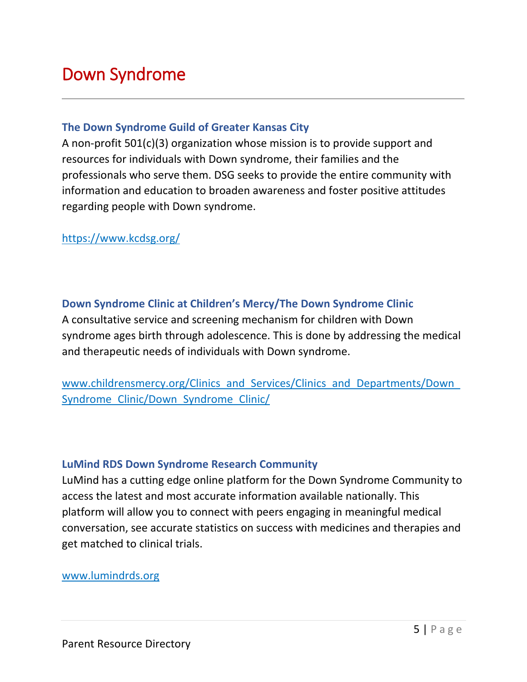# <span id="page-5-0"></span>Down Syndrome

#### **The Down Syndrome Guild of Greater Kansas City**

A non-profit 501(c)(3) organization whose mission is to provide support and resources for individuals with Down syndrome, their families and the professionals who serve them. DSG seeks to provide the entire community with information and education to broaden awareness and foster positive attitudes regarding people with Down syndrome.

### https://www.kcdsg.org/

# **Down Syndrome Clinic at Children's Mercy/The Down Syndrome Clinic**

A consultative service and screening mechanism for children with Down syndrome ages birth through adolescence. This is done by addressing the medical and therapeutic needs of individuals with Down syndrome.

www.childrensmercy.org/Clinics\_and\_Services/Clinics\_and\_Departments/Down [Syndrome\\_Clinic/Down\\_Syndrome\\_Clinic/](http://www.childrensmercy.org/Clinics_and_Services/Clinics_and_Departments/Down_Syndrome_Clinic/Down_Syndrome_Clinic/)

### **LuMind RDS Down Syndrome Research Community**

LuMind has a cutting edge online platform for the Down Syndrome Community to access the latest and most accurate information available nationally. This platform will allow you to connect with peers engaging in meaningful medical conversation, see accurate statistics on success with medicines and therapies and get matched to clinical trials.

[www.lumindrds.org](http://www.lumindrds.org/)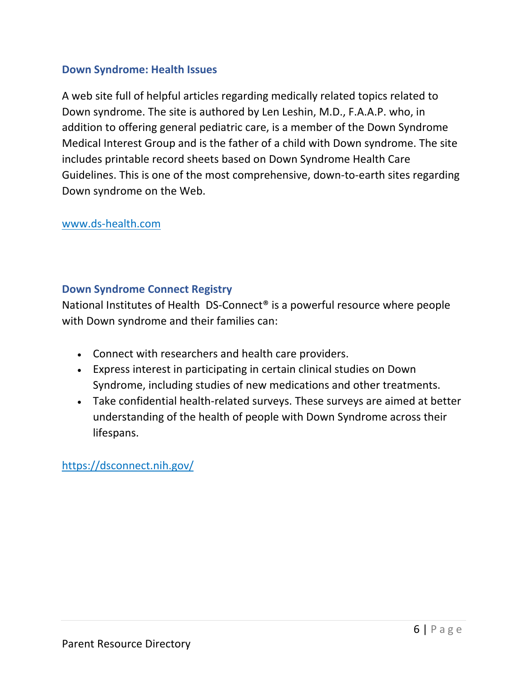# **[Down Syndrome: Health Issues](http://www.ds-health.com/ds_sites.htm)**

A web site full of helpful articles regarding medically related topics related to Down syndrome. The site is authored by Len Leshin, M.D., F.A.A.P. who, in addition to offering general pediatric care, is a member of the Down Syndrome Medical Interest Group and is the father of a child with Down syndrome. The site includes printable record sheets based on Down Syndrome Health Care Guidelines. This is one of the most comprehensive, down-to-earth sites regarding Down syndrome on the Web.

# [www.ds-health.com](http://www.ds-health.com/)

# **Down Syndrome Connect Registry**

National Institutes of Health DS-Connect® is a powerful resource where people with Down syndrome and their families can:

- Connect with researchers and health care providers.
- Express interest in participating in certain clinical studies on Down Syndrome, including studies of new medications and other treatments.
- Take confidential health-related surveys. These surveys are aimed at better understanding of the health of people with Down Syndrome across their lifespans.

# <https://dsconnect.nih.gov/>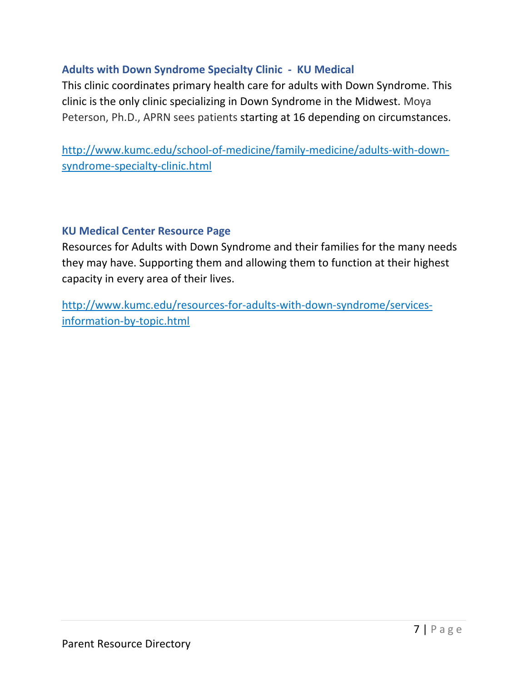# **Adults with Down Syndrome Specialty Clinic - KU Medical**

This clinic coordinates primary health care for adults with Down Syndrome. This clinic is the only clinic specializing in Down Syndrome in the Midwest. Moya Peterson, Ph.D., APRN sees patients starting at 16 depending on circumstances.

http://www.kumc.edu/school-of-medicine/family-medicine/adults-with-downsyndrome-specialty-clinic.html

# **KU Medical Center Resource Page**

Resources for Adults with Down Syndrome and their families for the many needs they may have. Supporting them and allowing them to function at their highest capacity in every area of their lives.

http://www.kumc.edu/resources-for-adults-with-down-syndrome/servicesinformation-by-topic.html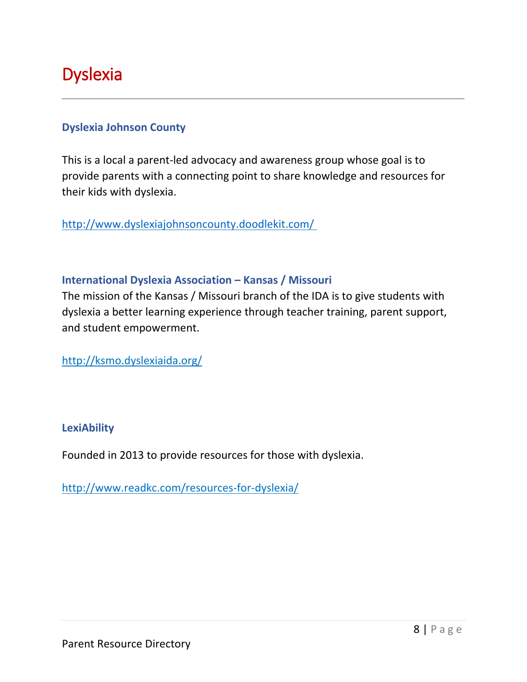# <span id="page-8-0"></span>**Dyslexia**

# **Dyslexia Johnson County**

This is a local a parent-led advocacy and awareness group whose goal is to provide parents with a connecting point to share knowledge and resources for their kids with dyslexia.

<http://www.dyslexiajohnsoncounty.doodlekit.com/>

# **International Dyslexia Association – Kansas / Missouri**

The mission of the Kansas / Missouri branch of the IDA is to give students with dyslexia a better learning experience through teacher training, parent support, and student empowerment.

<http://ksmo.dyslexiaida.org/>

### **LexiAbility**

Founded in 2013 to provide resources for those with dyslexia.

http://www.readkc.com/resources-for-dyslexia/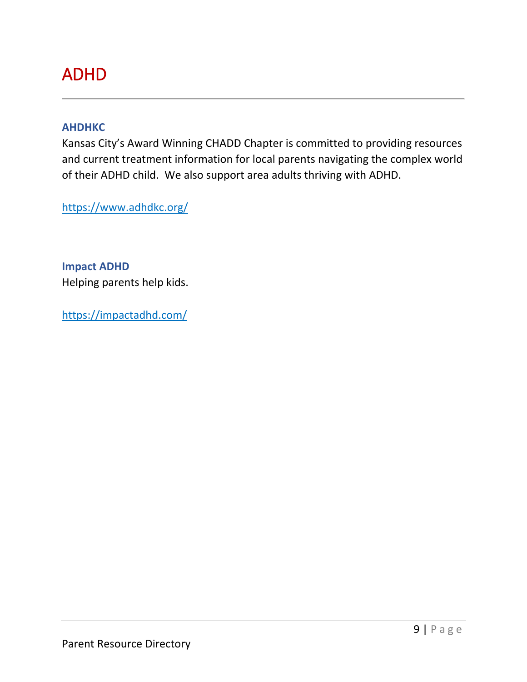# <span id="page-9-0"></span>ADHD

#### **AHDHKC**

Kansas City's Award Winning CHADD Chapter is committed to providing resources and current treatment information for local parents navigating the complex world of their ADHD child. We also support area adults thriving with ADHD.

<https://www.adhdkc.org/>

**Impact ADHD** Helping parents help kids.

https://impactadhd.com/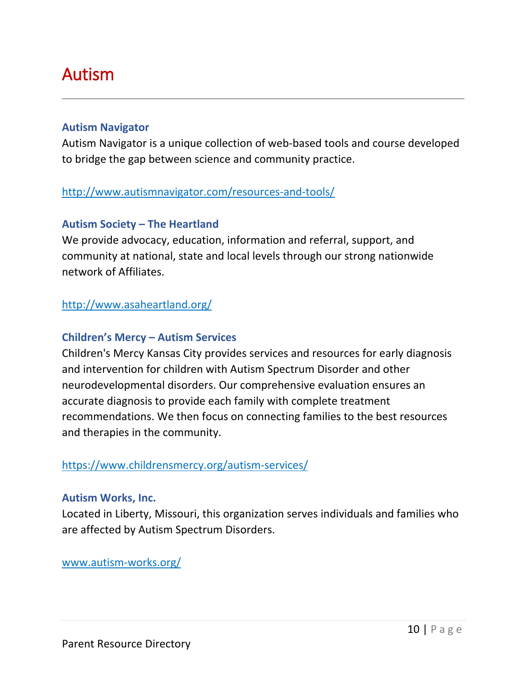# <span id="page-10-0"></span>Autism

# **Autism Navigator**

Autism Navigator is a unique collection of web-based tools and course developed to bridge the gap between science and community practice.

# http://www.autismnavigator.com/resources-and-tools/

# **Autism Society – The Heartland**

We provide advocacy, education, information and referral, support, and community at national, state and local levels through our strong nationwide network of Affiliates.

# http://www.asaheartland.org/

# **Children's Mercy – Autism Services**

Children's Mercy Kansas City provides services and resources for early diagnosis and intervention for children with Autism Spectrum Disorder and other neurodevelopmental disorders. Our comprehensive evaluation ensures an accurate diagnosis to provide each family with complete treatment recommendations. We then focus on connecting families to the best resources and therapies in the community.

# https://www.childrensmercy.org/autism-services/

### **Autism Works, Inc.**

Located in Liberty, Missouri, this organization serves individuals and families who are affected by Autism Spectrum Disorders.

[www.autism-works.org/](http://autism-works.org/)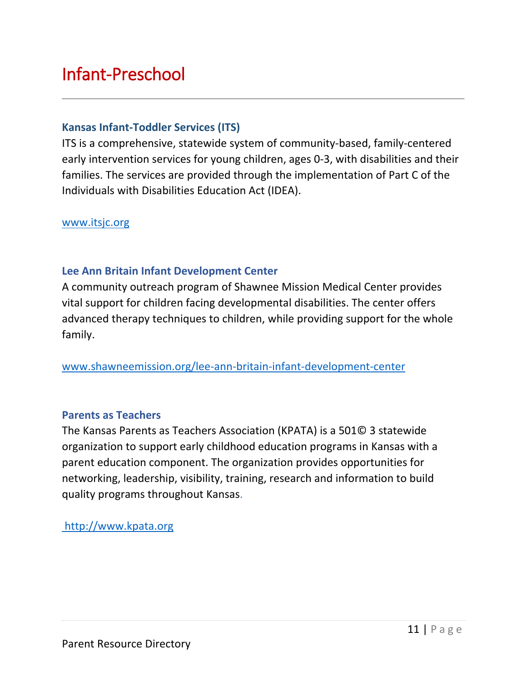# Infant-Preschool

### **[Kansas Infant-Toddler Services](http://www.kdheks.gov/its/#Purpose) (ITS)**

ITS is a comprehensive, statewide system of community-based, family-centered early intervention services for young children, ages 0-3, with disabilities and their families. The services are provided through the implementation of Part C of the Individuals with Disabilities Education Act (IDEA).

#### www.itsjc.org

#### **[Lee Ann Britain Infant Development Center](http://www.shawneemission.org/health-services/britain-center)**

A community outreach program of Shawnee Mission Medical Center provides vital support for children facing developmental disabilities. The center offers advanced therapy techniques to children, while providing support for the whole family.

[www.shawneemission.org/lee-ann-britain-infant-development-center](http://www.shawneemission.org/lee-ann-britain-infant-development-center)

#### **Parents as Teachers**

The Kansas Parents as Teachers Association (KPATA) is a 501© 3 statewide organization to support early childhood education programs in Kansas with a parent education component. The organization provides opportunities for networking, leadership, visibility, training, research and information to build quality programs throughout Kansas.

### [http://www.kpata.org](http://www.kpata.org/)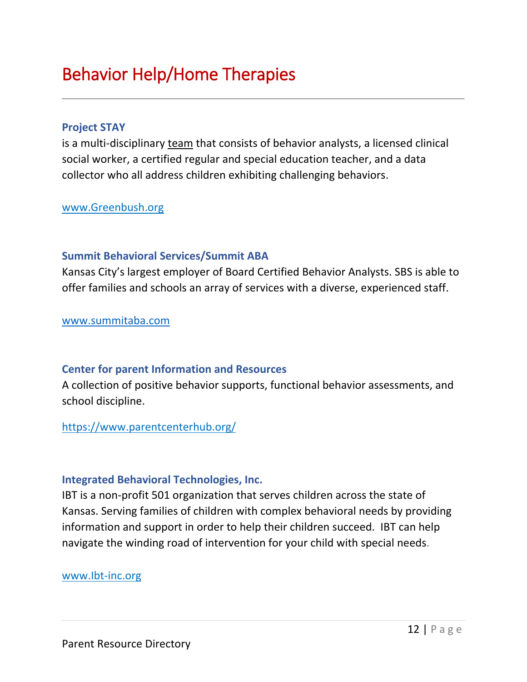# <span id="page-12-0"></span>Behavior Help/Home Therapies

#### **[Project STAY](http://www.projectstay.com/index.shtml)**

is a multi-disciplinary [team](https://www.kcdsg.org/project_stay_team.shtml) that consists of behavior analysts, a licensed clinical social worker, a certified regular and special education teacher, and a data collector who all address children exhibiting challenging behaviors.

#### [www.Greenbush.org](http://www.greenbush.org/)

#### **Summit Behavioral Services/Summit ABA**

Kansas City's largest employer of Board Certified Behavior Analysts. SBS is able to offer families and schools an array of services with a diverse, experienced staff.

[www.summitaba.com](http://www.summitaba.com/)

#### **Center for parent Information and Resources**

A collection of positive behavior supports, functional behavior assessments, and school discipline.

### https://www.parentcenterhub.org/

#### **Integrated Behavioral Technologies, Inc.**

IBT is a non-profit 501 organization that serves children across the state of Kansas. Serving families of children with complex behavioral needs by providing information and support in order to help their children succeed. IBT can help navigate the winding road of intervention for your child with special needs.

#### www.Ibt-inc.org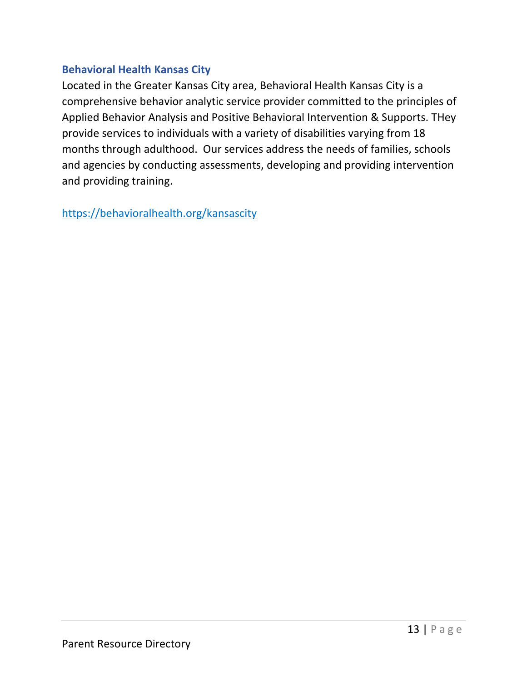# **Behavioral Health Kansas City**

Located in the Greater Kansas City area, Behavioral Health Kansas City is a comprehensive behavior analytic service provider committed to the principles of Applied Behavior Analysis and Positive Behavioral Intervention & Supports. THey provide services to individuals with a variety of disabilities varying from 18 months through adulthood. Our services address the needs of families, schools and agencies by conducting assessments, developing and providing intervention and providing training.

<span id="page-13-0"></span>https://behavioralhealth.org/kansascity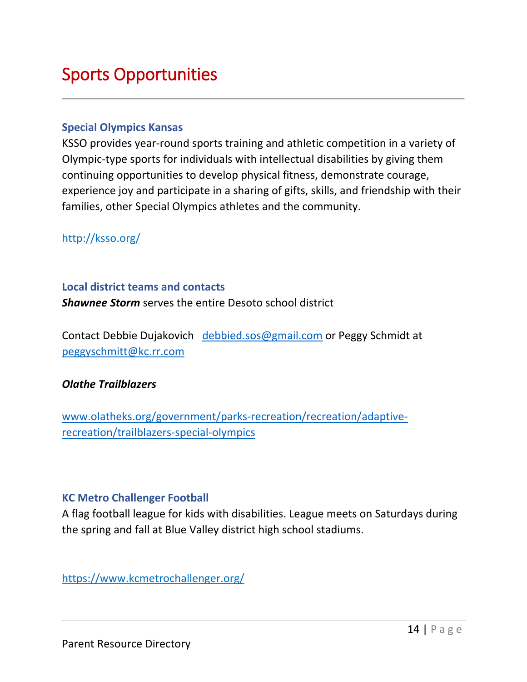# Sports Opportunities

#### **[Special Olympics Kansas](http://www.ksso.org/mission.html)**

KSSO provides year-round sports training and athletic competition in a variety of Olympic-type sports for individuals with intellectual disabilities by giving them continuing opportunities to develop physical fitness, demonstrate courage, experience joy and participate in a sharing of gifts, skills, and friendship with their families, other Special Olympics athletes and the community.

http://ksso.org/

#### **Local district teams and contacts**

*Shawnee Storm* serves the entire Desoto school district

Contact Debbie Dujakovich [debbied.sos@gmail.com](mailto:debbied.sos@gmail.com) or Peggy Schmidt at [peggyschmitt@kc.rr.com](mailto:peggyschmitt@kc.rr.com)

# *Olathe Trailblazers*

[www.olatheks.org/government/parks-recreation/recreation/adaptive](http://www.olatheks.org/government/parks-recreation/recreation/adaptive-recreation/trailblazers-special-olympics)[recreation/trailblazers-special-olympics](http://www.olatheks.org/government/parks-recreation/recreation/adaptive-recreation/trailblazers-special-olympics)

### **KC Metro Challenger Football**

A flag football league for kids with disabilities. League meets on Saturdays during the spring and fall at Blue Valley district high school stadiums.

https://www.kcmetrochallenger.org/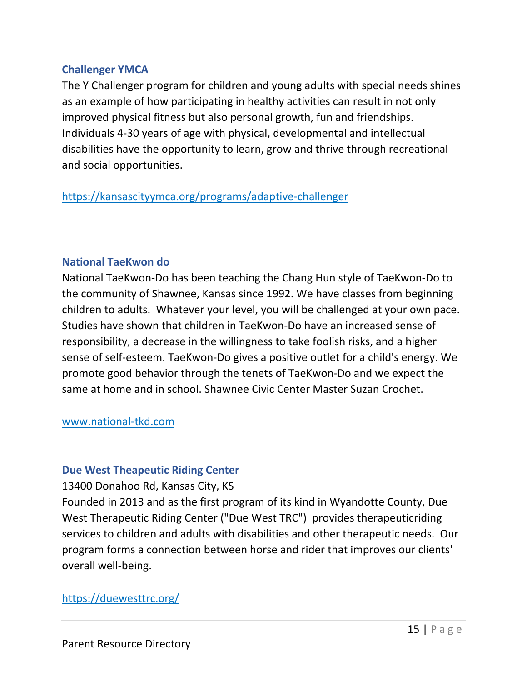# **Challenger YMCA**

The Y Challenger program for children and young adults with special needs shines as an example of how participating in healthy activities can result in not only improved physical fitness but also personal growth, fun and friendships. Individuals 4-30 years of age with physical, developmental and intellectual disabilities have the opportunity to learn, grow and thrive through recreational and social opportunities.

https://kansascityymca.org/programs/adaptive-challenger

# **National TaeKwon do**

National TaeKwon-Do has been teaching the Chang Hun style of TaeKwon-Do to the community of Shawnee, Kansas since 1992. We have classes from beginning children to adults. Whatever your level, you will be challenged at your own pace. Studies have shown that children in TaeKwon-Do have an increased sense of responsibility, a decrease in the willingness to take foolish risks, and a higher sense of self-esteem. TaeKwon-Do gives a positive outlet for a child's energy. We promote good behavior through the tenets of TaeKwon-Do and we expect the same at home and in school. Shawnee Civic Center Master Suzan Crochet.

### www.national-tkd.com

# **Due West Theapeutic Riding Center**

13400 Donahoo Rd, Kansas City, KS Founded in 2013 and as the first program of its kind in Wyandotte County, Due West Therapeutic Riding Center ("Due West TRC") provides therapeuticriding services to children and adults with disabilities and other therapeutic needs. Our program forms a connection between horse and rider that improves our clients' overall well-being.

# https://duewesttrc.org/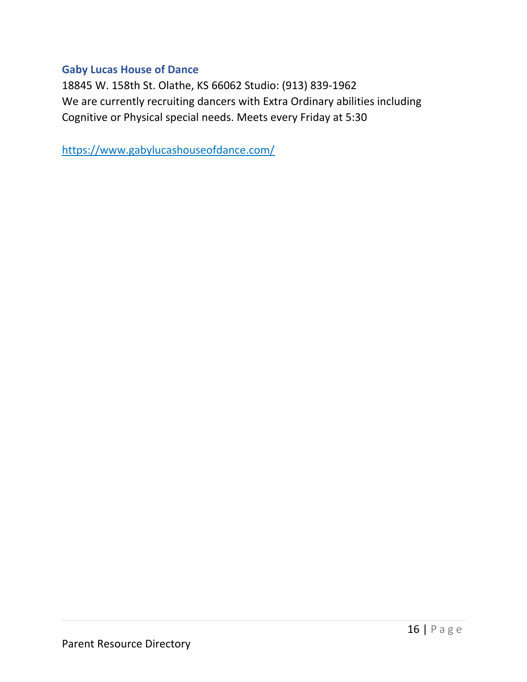# **Gaby Lucas House of Dance**

18845 W. 158th St. Olathe, KS 66062 Studio: (913) 839-1962 We are currently recruiting dancers with Extra Ordinary abilities including Cognitive or Physical special needs. Meets every Friday at 5:30

https://www.gabylucashouseofdance.com/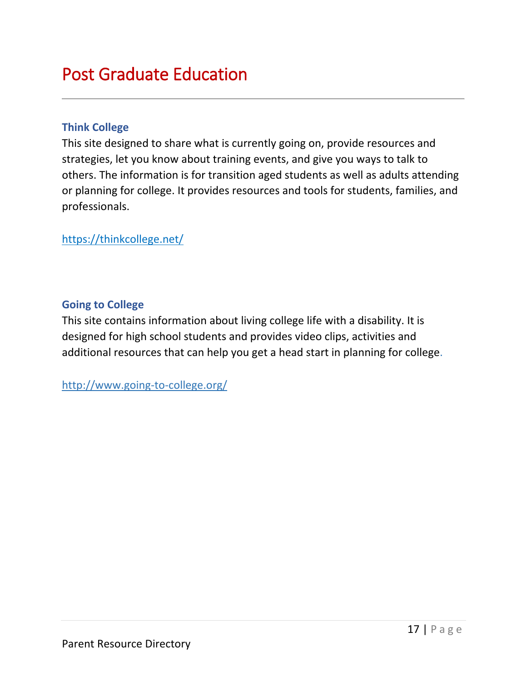# <span id="page-17-0"></span>Post Graduate Education

# **[Think College](http://www.thinkcollege.net/)**

This site designed to share what is currently going on, provide resources and strategies, let you know about training events, and give you ways to talk to others. The information is for transition aged students as well as adults attending or planning for college. It provides resources and tools for students, families, and professionals.

https://thinkcollege.net/

# **[Going to College](http://www.going-to-college.org/)**

This site contains information about living college life with a disability. It is designed for high school students and provides video clips, activities and additional resources that can help you get a head start in planning for college.

<http://www.going-to-college.org/>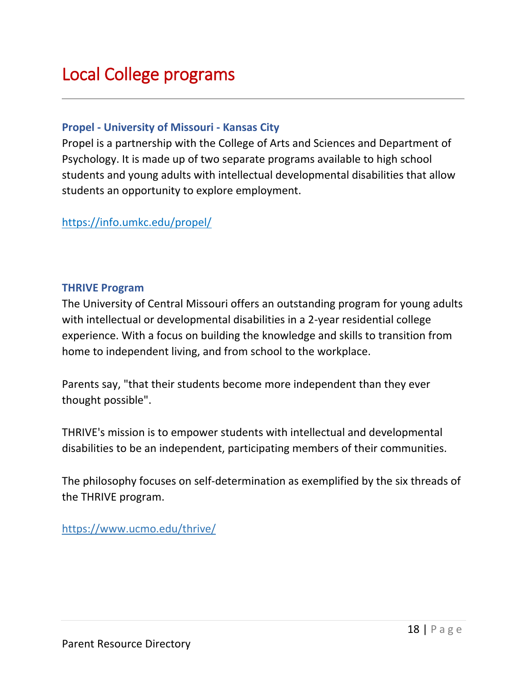# <span id="page-18-0"></span>Local College programs

### **Propel - [University of Missouri -](https://info.umkc.edu/propel/) Kansas City**

Propel is a partnership with the College of Arts and Sciences and Department of Psychology. It is made up of two separate programs available to high school students and young adults with intellectual developmental disabilities that allow students an opportunity to explore employment.

https://info.umkc.edu/propel/

#### **THRIVE Program**

The University of Central Missouri offers an outstanding program for young adults with intellectual or developmental disabilities in a 2-year residential college experience. With a focus on building the knowledge and skills to transition from home to independent living, and from school to the workplace.

Parents say, "that their students become more independent than they ever thought possible".

THRIVE's mission is to empower students with intellectual and developmental disabilities to be an independent, participating members of their communities.

The philosophy focuses on self-determination as exemplified by the six threads of the THRIVE program.

<https://www.ucmo.edu/thrive/>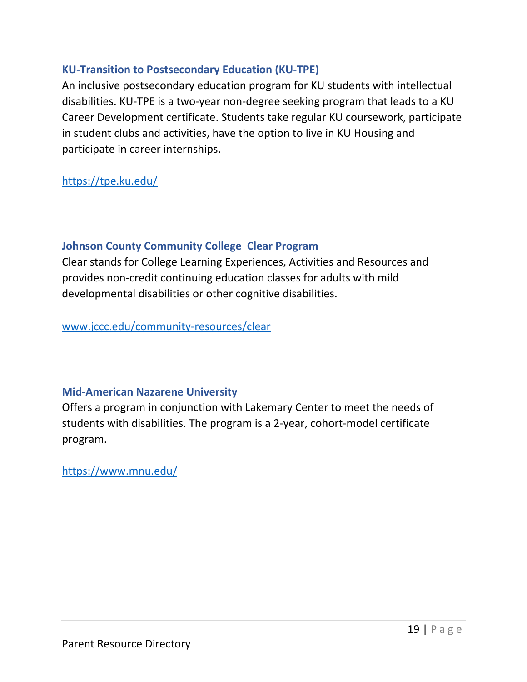# **KU-Transition to Postsecondary Education (KU-TPE)**

An inclusive postsecondary education program for KU students with intellectual disabilities. KU-TPE is a two-year non-degree seeking program that leads to a KU Career Development certificate. Students take regular KU coursework, participate in student clubs and activities, have the option to live in KU Housing and participate in career internships.

<https://tpe.ku.edu/>

# **Johnson County Community College Clear Program**

Clear stands for College Learning Experiences, Activities and Resources and provides non-credit continuing education classes for adults with mild developmental disabilities or other cognitive disabilities.

[www.jccc.edu/community-resources/clear](http://www.jccc.edu/community-resources/clear)

# **Mid-American Nazarene University**

Offers a program in conjunction with Lakemary Center to meet the needs of students with disabilities. The program is a 2-year, cohort-model certificate program.

https://www.mnu.edu/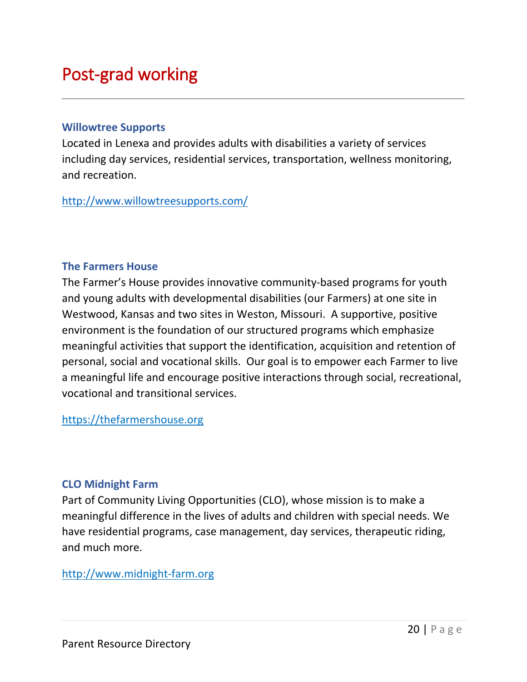# <span id="page-20-0"></span>Post-grad working

#### **Willowtree Supports**

Located in Lenexa and provides adults with disabilities a variety of services including day services, residential services, transportation, wellness monitoring, and recreation.

<http://www.willowtreesupports.com/>

### **The Farmers House**

The Farmer's House provides innovative community-based programs for youth and young adults with developmental disabilities (our Farmers) at one site in Westwood, Kansas and two sites in Weston, Missouri. A supportive, positive environment is the foundation of our structured programs which emphasize meaningful activities that support the identification, acquisition and retention of personal, social and vocational skills. Our goal is to empower each Farmer to live a meaningful life and encourage positive interactions through social, recreational, vocational and transitional services.

https://thefarmershouse.org

### **CLO Midnight Farm**

Part of Community Living Opportunities (CLO), whose mission is to make a meaningful difference in the lives of adults and children with special needs. We have residential programs, case management, day services, therapeutic riding, and much more.

http://www.midnight-farm.org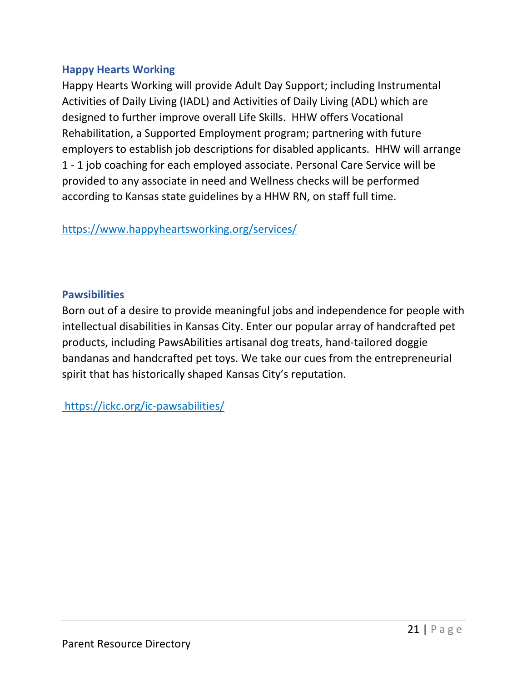# **Happy Hearts Working**

Happy Hearts Working will provide Adult Day Support; including Instrumental Activities of Daily Living (IADL) and Activities of Daily Living (ADL) which are designed to further improve overall Life Skills. HHW offers Vocational Rehabilitation, a Supported Employment program; partnering with future employers to establish job descriptions for disabled applicants. HHW will arrange 1 - 1 job coaching for each employed associate. Personal Care Service will be provided to any associate in need and Wellness checks will be performed according to Kansas state guidelines by a HHW RN, on staff full time.

https://www.happyheartsworking.org/services/

# **Pawsibilities**

Born out of a desire to provide meaningful jobs and independence for people with intellectual disabilities in Kansas City. Enter our popular array of handcrafted pet products, including PawsAbilities artisanal dog treats, hand-tailored doggie bandanas and handcrafted pet toys. We take our cues from the entrepreneurial spirit that has historically shaped Kansas City's reputation.

https://ickc.org/ic-pawsabilities/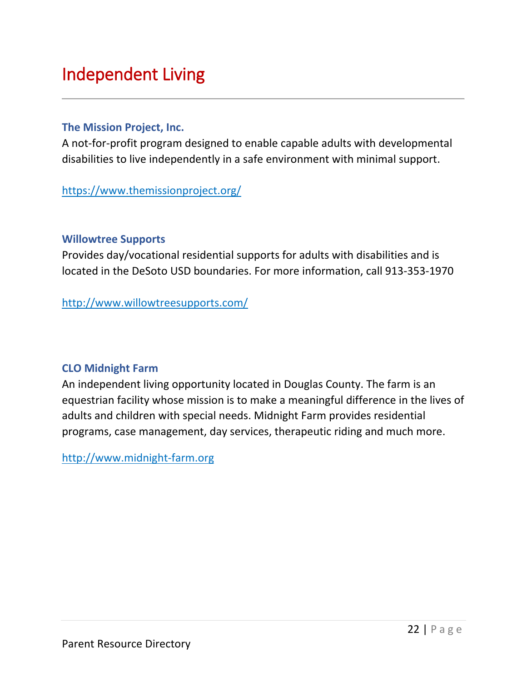# <span id="page-22-0"></span>Independent Living

### **[The Mission Project, Inc.](http://www.themissionproject.org/)**

A not-for-profit program designed to enable capable adults with developmental disabilities to live independently in a safe environment with minimal support.

https://www.themissionproject.org/

# **Willowtree Supports**

Provides day/vocational residential supports for adults with disabilities and is located in the DeSoto USD boundaries. For more information, call 913-353-1970

http://www.willowtreesupports.com/

# **CLO Midnight Farm**

An independent living opportunity located in Douglas County. The farm is an equestrian facility whose mission is to make a meaningful difference in the lives of adults and children with special needs. Midnight Farm provides residential programs, case management, day services, therapeutic riding and much more.

http://www.midnight-farm.org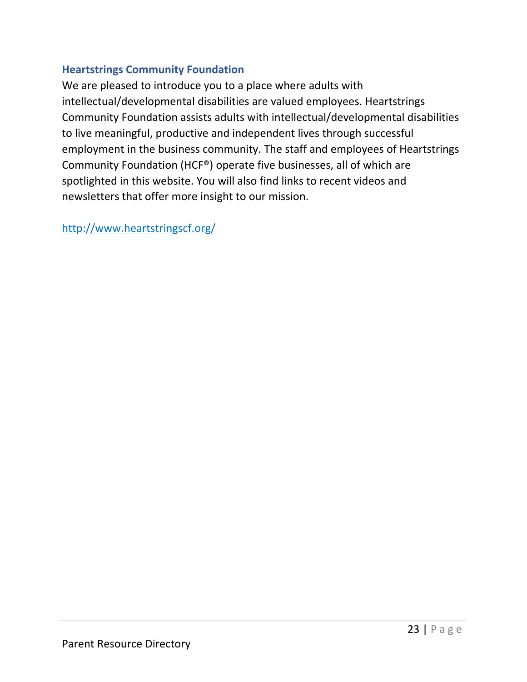# **Heartstrings Community Foundation**

We are pleased to introduce you to a place where adults with intellectual/developmental disabilities are valued employees. Heartstrings Community Foundation assists adults with intellectual/developmental disabilities to live meaningful, productive and independent lives through successful employment in the business community. The staff and employees of Heartstrings Community Foundation (HCF®) operate five businesses, all of which are spotlighted in this website. You will also find links to recent videos and newsletters that offer more insight to our mission.

http://www.heartstringscf.org/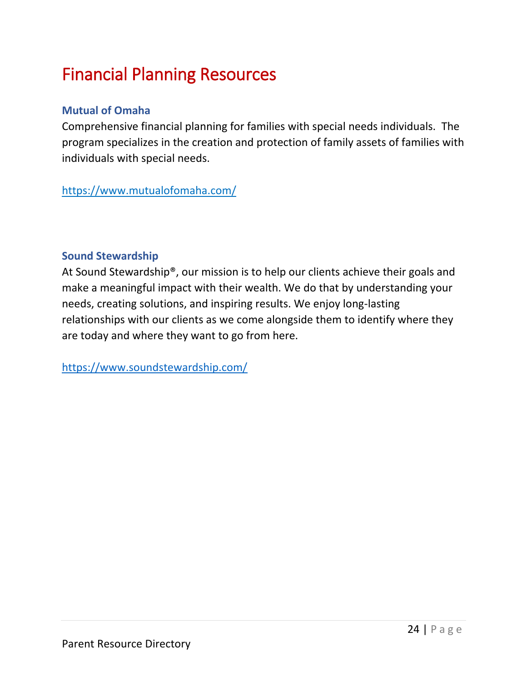# <span id="page-24-0"></span>Financial Planning Resources

# **[Mutual of Omaha](https://www.kcdsg.org/files/content/Mutual%20of%20Omaha%20Financial%20Planning%20Flyer.pdf)**

Comprehensive financial planning for families with special needs individuals. The program specializes in the creation and protection of family assets of families with individuals with special needs.

https://www.mutualofomaha.com/

# **[Sound Stewardship](http://soundstewardship.com/)**

At Sound Stewardship®, our mission is to help our clients achieve their goals and make a meaningful impact with their wealth. We do that by understanding your needs, creating solutions, and inspiring results. We enjoy long-lasting relationships with our clients as we come alongside them to identify where they are today and where they want to go from here.

https://www.soundstewardship.com/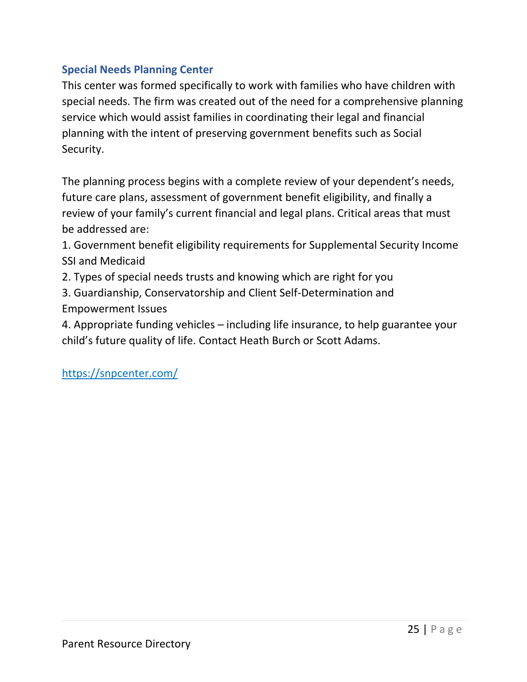# **[Special Needs Planning Center](https://snpcenter.com/)**

This center was formed specifically to work with families who have children with special needs. The firm was created out of the need for a comprehensive planning service which would assist families in coordinating their legal and financial planning with the intent of preserving government benefits such as Social Security.

The planning process begins with a complete review of your dependent's needs, future care plans, assessment of government benefit eligibility, and finally a review of your family's current financial and legal plans. Critical areas that must be addressed are:

1. Government benefit eligibility requirements for Supplemental Security Income SSI and Medicaid

2. Types of special needs trusts and knowing which are right for you

3. Guardianship, Conservatorship and Client Self-Determination and Empowerment Issues

4. Appropriate funding vehicles – including life insurance, to help guarantee your child's future quality of life. Contact Heath Burch or Scott Adams.

<span id="page-25-0"></span>https://snpcenter.com/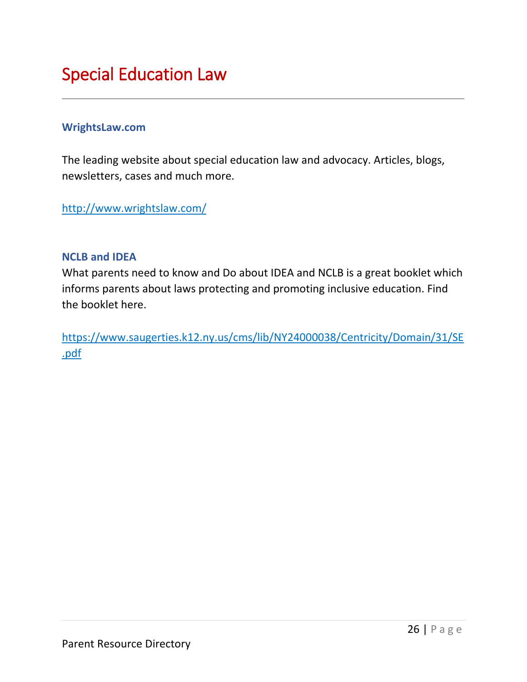# Special Education Law

### **WrightsLaw.com**

The leading website about special education law and advocacy. Articles, blogs, newsletters, cases and much more.

http://www.wrightslaw.com/

### **NCLB and IDEA**

What parents need to know and Do about IDEA and NCLB is a great booklet which informs parents about laws protecting and promoting inclusive education. Find the booklet here.

https://www.saugerties.k12.ny.us/cms/lib/NY24000038/Centricity/Domain/31/SE .pdf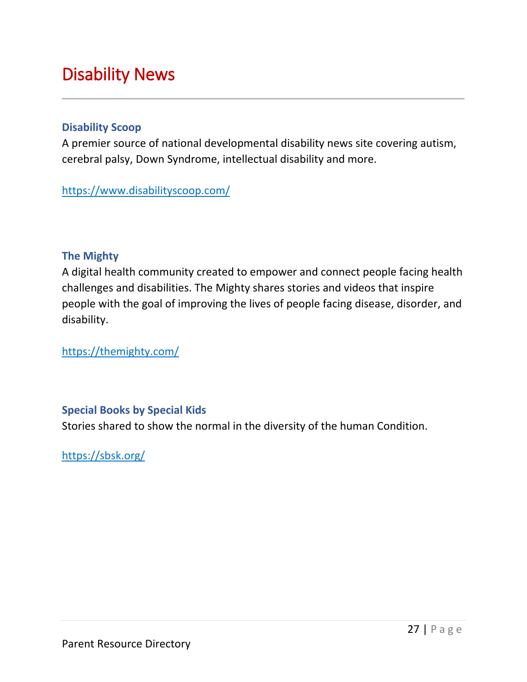# <span id="page-27-0"></span>Disability News

### **Disability Scoop**

A premier source of national developmental disability news site covering autism, cerebral palsy, Down Syndrome, intellectual disability and more.

https://www.disabilityscoop.com/

# **The Mighty**

A digital health community created to empower and connect people facing health challenges and disabilities. The Mighty shares stories and videos that inspire people with the goal of improving the lives of people facing disease, disorder, and disability.

https://themighty.com/

# **Special Books by Special Kids**

Stories shared to show the normal in the diversity of the human Condition.

https://sbsk.org/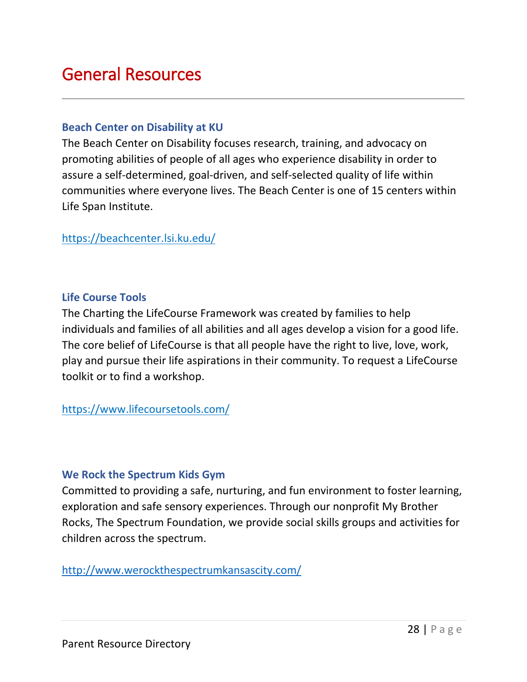# <span id="page-28-0"></span>General Resources

#### **Beach Center on Disability at KU**

The Beach Center on Disability focuses research, training, and advocacy on promoting abilities of people of all ages who experience disability in order to assure a self-determined, goal-driven, and self-selected quality of life within communities where everyone lives. The Beach Center is one of 15 centers within Life Span Institute.

https://beachcenter.lsi.ku.edu/

### **Life Course Tools**

The Charting the LifeCourse Framework was created by families to help individuals and families of all abilities and all ages develop a vision for a good life. The core belief of LifeCourse is that all people have the right to live, love, work, play and pursue their life aspirations in their community. To request a LifeCourse toolkit or to find a workshop.

https://www.lifecoursetools.com/

### **We Rock the Spectrum Kids Gym**

Committed to providing a safe, nurturing, and fun environment to foster learning, exploration and safe sensory experiences. Through our nonprofit My Brother Rocks, The Spectrum Foundation, we provide social skills groups and activities for children across the spectrum.

<http://www.werockthespectrumkansascity.com/>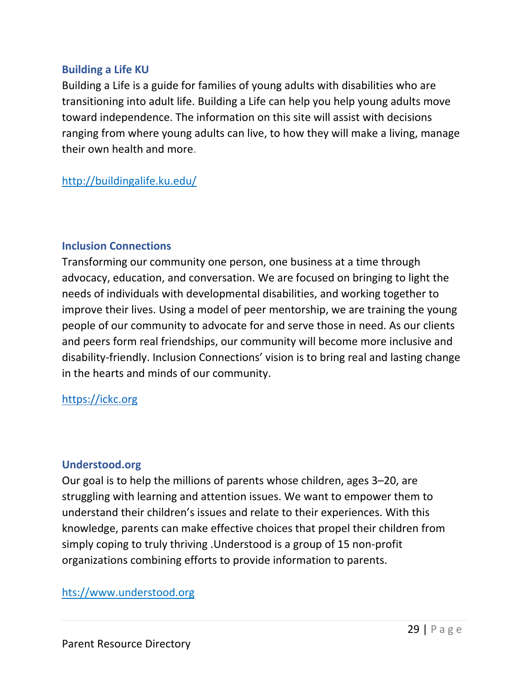# **Building a Life KU**

Building a Life is a guide for families of young adults with disabilities who are transitioning into adult life. Building a Life can help you help young adults move toward independence. The information on this site will assist with decisions ranging from where young adults can live, to how they will make a living, manage their own health and more.

# http://buildingalife.ku.edu/

### **Inclusion Connections**

Transforming our community one person, one business at a time through advocacy, education, and conversation. We are focused on bringing to light the needs of individuals with developmental disabilities, and working together to improve their lives. Using a model of peer mentorship, we are training the young people of our community to advocate for and serve those in need. As our clients and peers form real friendships, our community will become more inclusive and disability-friendly. Inclusion Connections' vision is to bring real and lasting change in the hearts and minds of our community.

### [https://ickc.org](https://ickc.org/)

### **Understood.org**

Our goal is to help the millions of parents whose children, ages 3–20, are struggling with learning and attention issues. We want to empower them to understand their children's issues and relate to their experiences. With this knowledge, parents can make effective choices that propel their children from simply coping to truly thriving .Understood is a group of 15 non-profit organizations combining efforts to provide information to parents.

### hts://www.understood.org